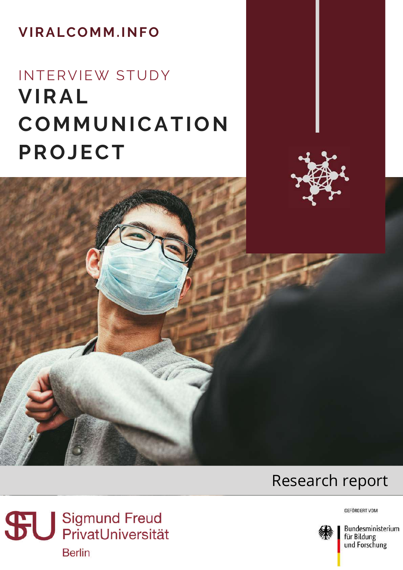#### **VIRALCOMM.INFO**

# **VIRAL COMMUNICATION PROJECT** INTERVIEW STUDY





Sigmund Freud<br>
PrivatUniversität **Berlin** 



Bundesministerium für Bildung und Forschung

GEFÖRDERT VOM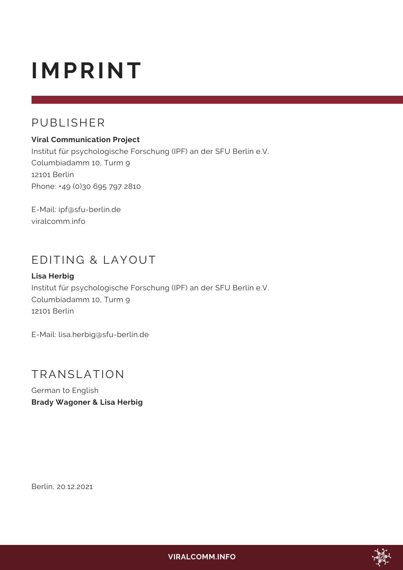# **IMPRINT**

#### PUBLISHER

#### **Viral Communication Project**

Institut für psychologische Forschung (IPF) an der SFU Berlin e.V. Columbiadamm 10, Turm 9 12101 Berlin Phone: +49 (0)30 695 797 2810

E-Mail: [ipf@sfu-berlin.de](mailto:ipf@sfu-berlin.de) viralcomm.info

#### EDITING & LAYOUT

#### **Lisa Herbig**

Institut für psychologische Forschung (IPF) an der SFU Berlin e.V. Columbiadamm 10, Turm 9 12101 Berlin

E-Mail: [lisa.herbig@sfu-berlin.de](mailto:lisa.herbig@sfu-berlin.de)

#### TRANSLATION

German to English **Brady Wagoner & Lisa Herbig**

Berlin, 20.12.2021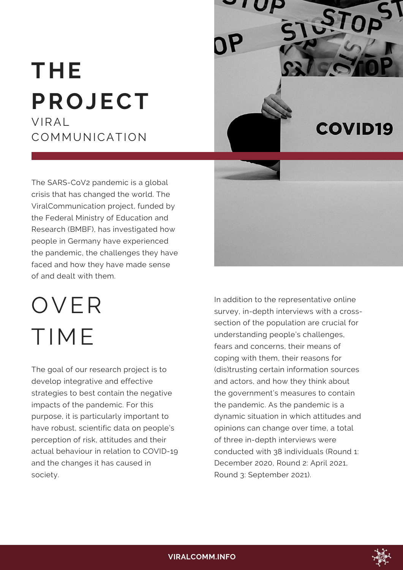# **THE PROJECT** VIRAL COMMUNICATION



The SARS-CoV2 pandemic is a global crisis that has changed the world. The ViralCommunication project, funded by the Federal Ministry of Education and Research (BMBF), has investigated how people in Germany have experienced the pandemic, the challenges they have faced and how they have made sense of and dealt with them.

OVER TIME

The goal of our research project is to develop integrative and effective strategies to best contain the negative impacts of the pandemic. For this purpose, it is particularly important to have robust, scientific data on people's perception of risk, attitudes and their actual behaviour in relation to COVID-19 and the changes it has caused in society.



In addition to the representative online survey, in-depth interviews with a crosssection of the population are crucial for understanding people's challenges, fears and concerns, their means of coping with them, their reasons for (dis)trusting certain information sources and actors, and how they think about the government's measures to contain the pandemic. As the pandemic is a dynamic situation in which attitudes and opinions can change over time, a total of three in-depth interviews were conducted with 38 individuals (Round 1: December 2020, Round 2: April 2021, Round 3: September 2021).

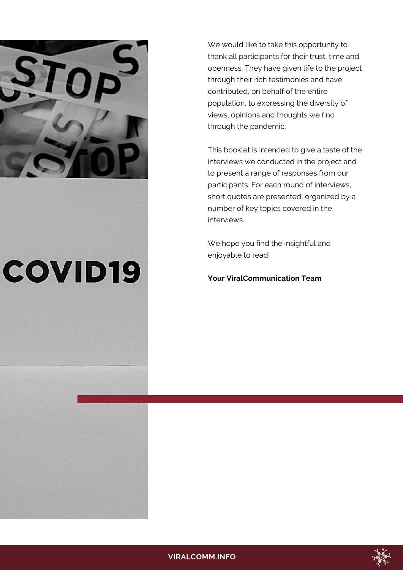

# **COVID19**

We would like to take this opportunity to thank all participants for their trust, time and openness. They have given life to the project through their rich testimonies and have contributed, on behalf of the entire population, to expressing the diversity of views, opinions and thoughts we find through the pandemic.

This booklet is intended to give a taste of the interviews we conducted in the project and to present a range of responses from our participants. For each round of interviews, short quotes are presented, organized by a number of key topics covered in the interviews.

We hope you find the insightful and enjoyable to read!

**Your ViralCommunication Team**

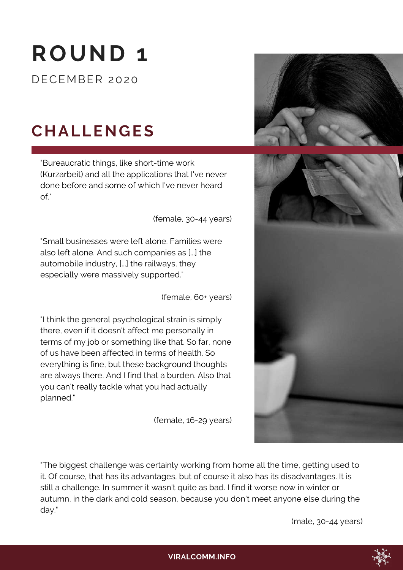# **ROUND 1**

DECEMBER 2020

# **CHALLENGES**

"Bureaucratic things, like short-time work (Kurzarbeit) and all the applications that I've never done before and some of which I've never heard  $\bigcap f$ "

(female, 30-44 years)

"Small businesses were left alone. Families were also left alone. And such companies as [...] the automobile industry, [...] the railways, they especially were massively supported."

(female, 60+ years)

"I think the general psychological strain is simply there, even if it doesn't affect me personally in terms of my job or something like that. So far, none of us have been affected in terms of health. So everything is fine, but these background thoughts are always there. And I find that a burden. Also that you can't really tackle what you had actually planned."

(female, 16-29 years)





"The biggest challenge was certainly working from home all the time, getting used to it. Of course, that has its advantages, but of course it also has its disadvantages. It is still a challenge. In summer it wasn't quite as bad. I find it worse now in winter or autumn, in the dark and cold season, because you don't meet anyone else during the day."

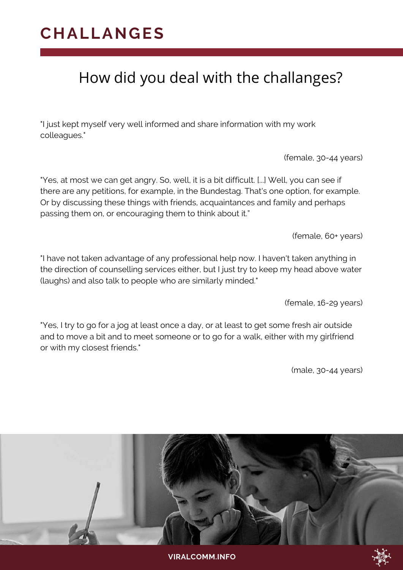#### **CHALLANGES**

#### How did you deal with the challanges?

"I just kept myself very well informed and share information with my work colleagues."

(female, 30-44 years)

"Yes, at most we can get angry. So, well, it is a bit difficult. [...] Well, you can see if there are any petitions, for example, in the Bundestag. That's one option, for example. Or by discussing these things with friends, acquaintances and family and perhaps passing them on, or encouraging them to think about it."

(female, 60+ years)

"I have not taken advantage of any professional help now. I haven't taken anything in the direction of counselling services either, but I just try to keep my head above water (laughs) and also talk to people who are similarly minded."

(female, 16-29 years)

"Yes, I try to go for a jog at least once a day, or at least to get some fresh air outside and to move a bit and to meet someone or to go for a walk, either with my girlfriend or with my closest friends."



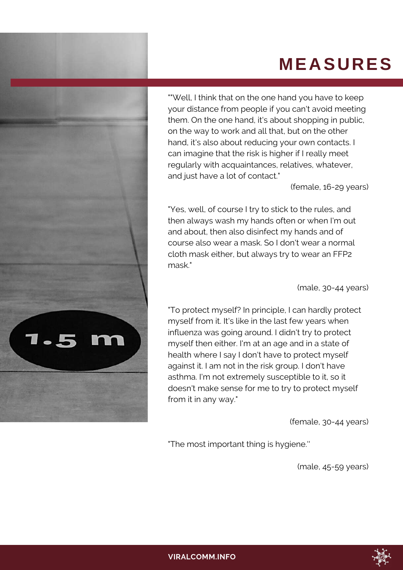## **MEASURES**



""Well, I think that on the one hand you have to keep your distance from people if you can't avoid meeting them. On the one hand, it's about shopping in public, on the way to work and all that, but on the other hand, it's also about reducing your own contacts. I can imagine that the risk is higher if I really meet regularly with acquaintances, relatives, whatever, and just have a lot of contact."

(female, 16-29 years)

"Yes, well, of course I try to stick to the rules, and then always wash my hands often or when I'm out and about, then also disinfect my hands and of course also wear a mask. So I don't wear a normal cloth mask either, but always try to wear an FFP2 mask."

(male, 30-44 years)

"To protect myself? In principle, I can hardly protect myself from it. It's like in the last few years when influenza was going around. I didn't try to protect myself then either. I'm at an age and in a state of health where I say I don't have to protect myself against it. I am not in the risk group. I don't have asthma. I'm not extremely susceptible to it, so it doesn't make sense for me to try to protect myself from it in any way."

(female, 30-44 years)

"The most important thing is hygiene.''

(male, 45-59 years)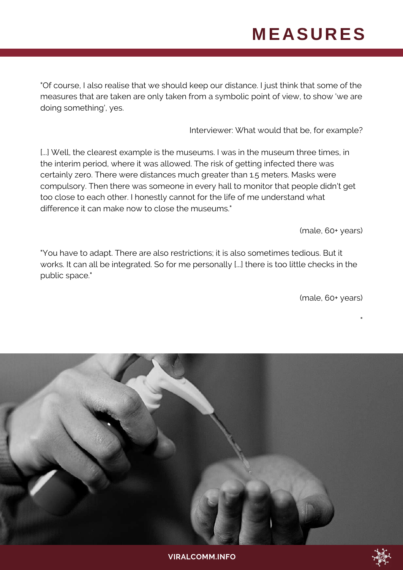## **MEASURES**

"Of course, I also realise that we should keep our distance. I just think that some of the measures that are taken are only taken from a symbolic point of view, to show 'we are doing something', yes.

Interviewer: What would that be, for example?

[...] Well, the clearest example is the museums. I was in the museum three times, in the interim period, where it was allowed. The risk of getting infected there was certainly zero. There were distances much greater than 1.5 meters. Masks were compulsory. Then there was someone in every hall to monitor that people didn't get too close to each other. I honestly cannot for the life of me understand what difference it can make now to close the museums."

(male, 60+ years)

"You have to adapt. There are also restrictions; it is also sometimes tedious. But it works. It can all be integrated. So for me personally [...] there is too little checks in the public space."

(male, 60+ years)

"

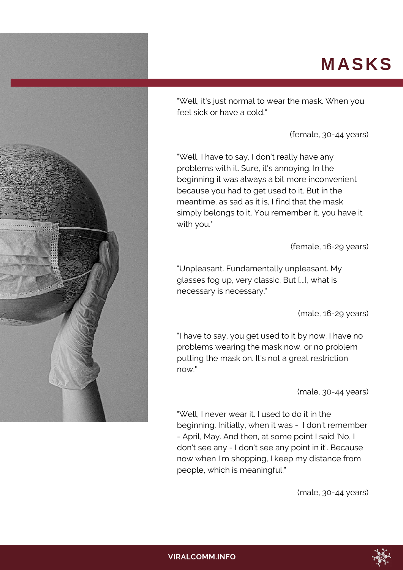### **MASKS**



"Well, it's just normal to wear the mask. When you feel sick or have a cold."

(female, 30-44 years)

"Well, I have to say, I don't really have any problems with it. Sure, it's annoying. In the beginning it was always a bit more inconvenient because you had to get used to it. But in the meantime, as sad as it is, I find that the mask simply belongs to it. You remember it, you have it with you."

(female, 16-29 years)

"Unpleasant. Fundamentally unpleasant. My glasses fog up, very classic. But [...], what is necessary is necessary."

(male, 16-29 years)

"I have to say, you get used to it by now. I have no problems wearing the mask now, or no problem putting the mask on. It's not a great restriction now."

(male, 30-44 years)

"Well, I never wear it. I used to do it in the beginning. Initially, when it was - I don't remember - April, May. And then, at some point I said 'No, I don't see any - I don't see any point in it'. Because now when I'm shopping, I keep my distance from people, which is meaningful."

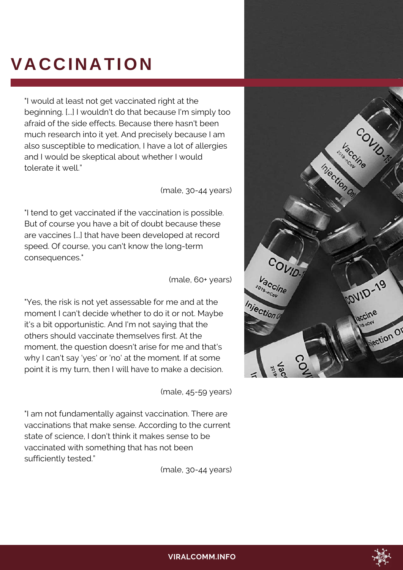## **VACCINATION**

"I would at least not get vaccinated right at the beginning. [...] I wouldn't do that because I'm simply too afraid of the side effects. Because there hasn't been much research into it yet. And precisely because I am also susceptible to medication, I have a lot of allergies and I would be skeptical about whether I would tolerate it well."

(male, 30-44 years)

"I tend to get vaccinated if the vaccination is possible. But of course you have a bit of doubt because these are vaccines [...] that have been developed at record speed. Of course, you can't know the long-term consequences."

(male, 60+ years)

"Yes, the risk is not yet assessable for me and at the moment I can't decide whether to do it or not. Maybe it's a bit opportunistic. And I'm not saying that the others should vaccinate themselves first. At the moment, the question doesn't arise for me and that's why I can't say 'yes' or 'no' at the moment. If at some point it is my turn, then I will have to make a decision.

(male, 45-59 years)

"I am not fundamentally against vaccination. There are vaccinations that make sense. According to the current state of science, I don't think it makes sense to be vaccinated with something that has not been sufficiently tested."



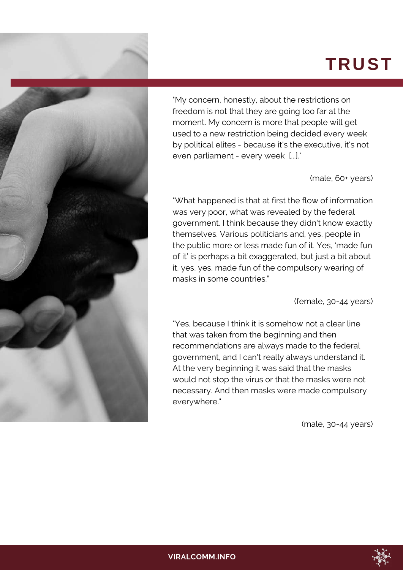## **TRUST**



"My concern, honestly, about the restrictions on freedom is not that they are going too far at the moment. My concern is more that people will get used to a new restriction being decided every week by political elites - because it's the executive, it's not even parliament - every week [...]."

(male, 60+ years)

"What happened is that at first the flow of information was very poor, what was revealed by the federal government. I think because they didn't know exactly themselves. Various politicians and, yes, people in the public more or less made fun of it. Yes, 'made fun of it' is perhaps a bit exaggerated, but just a bit about it, yes, yes, made fun of the compulsory wearing of masks in some countries."

(female, 30-44 years)

"Yes, because I think it is somehow not a clear line that was taken from the beginning and then recommendations are always made to the federal government, and I can't really always understand it. At the very beginning it was said that the masks would not stop the virus or that the masks were not necessary. And then masks were made compulsory everywhere."

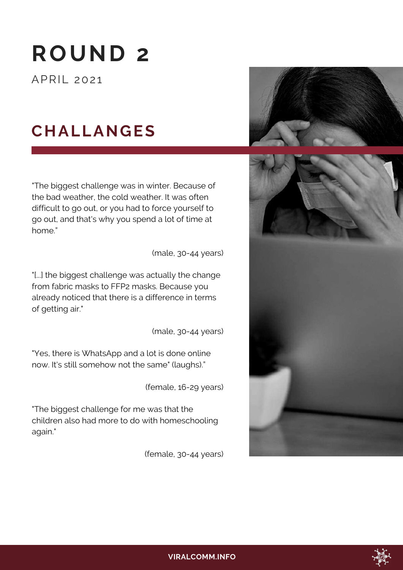# **ROUND 2**

APRIL 2021

### **CHALLANGES**

"The biggest challenge was in winter. Because of the bad weather, the cold weather. It was often difficult to go out, or you had to force yourself to go out, and that's why you spend a lot of time at home."

(male, 30-44 years)

"[...] the biggest challenge was actually the change from fabric masks to FFP2 masks. Because you already noticed that there is a difference in terms of getting air."

(male, 30-44 years)

"Yes, there is WhatsApp and a lot is done online now. It's still somehow not the same" (laughs)."

(female, 16-29 years)

"The biggest challenge for me was that the children also had more to do with homeschooling again."





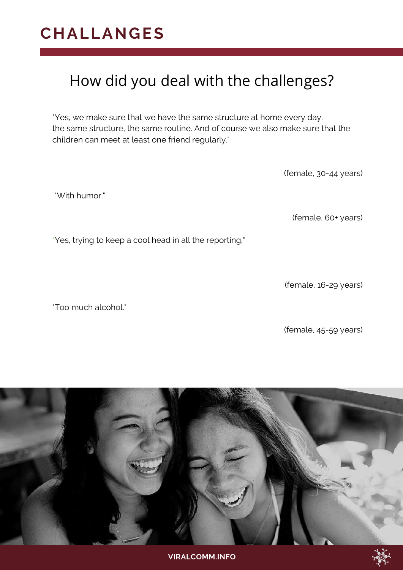#### **CHALLANGES**

#### How did you deal with the challenges?

"Yes, we make sure that we have the same structure at home every day. the same structure, the same routine. And of course we also make sure that the children can meet at least one friend regularly."

(female, 30-44 years)

"With humor."

(female, 60+ years)

"Yes, trying to keep a cool head in all the reporting."

(female, 16-29 years)

"Too much alcohol."

(female, 45-59 years)

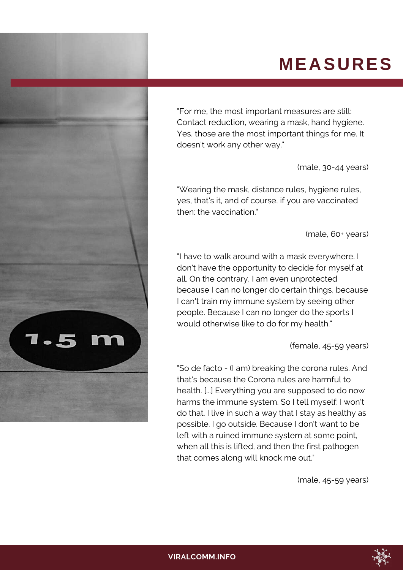### **MEASURES**



"For me, the most important measures are still: Contact reduction, wearing a mask, hand hygiene. Yes, those are the most important things for me. It doesn't work any other way."

(male, 30-44 years)

"Wearing the mask, distance rules, hygiene rules, yes, that's it, and of course, if you are vaccinated then: the vaccination."

(male, 60+ years)

"I have to walk around with a mask everywhere. I don't have the opportunity to decide for myself at all. On the contrary, I am even unprotected because I can no longer do certain things, because I can't train my immune system by seeing other people. Because I can no longer do the sports I would otherwise like to do for my health."

(female, 45-59 years)

"So de facto - (I am) breaking the corona rules. And that's because the Corona rules are harmful to health. [...] Everything you are supposed to do now harms the immune system. So I tell myself: I won't do that. I live in such a way that I stay as healthy as possible. I go outside. Because I don't want to be left with a ruined immune system at some point, when all this is lifted, and then the first pathogen that comes along will knock me out."

(male, 45-59 years)

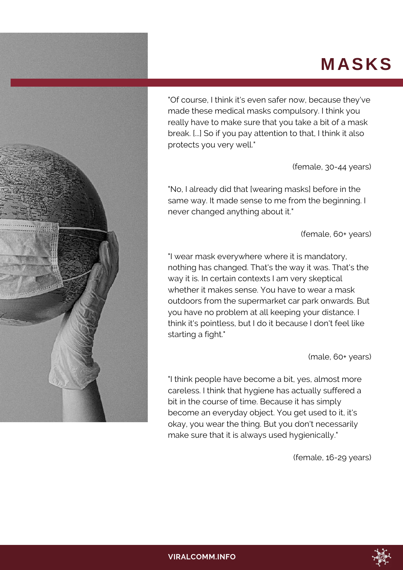## **MASKS**



"Of course, I think it's even safer now, because they've made these medical masks compulsory. I think you really have to make sure that you take a bit of a mask break. [...] So if you pay attention to that, I think it also protects you very well."

(female, 30-44 years)

"No, I already did that [wearing masks] before in the same way. It made sense to me from the beginning. I never changed anything about it."

(female, 60+ years)

"I wear mask everywhere where it is mandatory, nothing has changed. That's the way it was. That's the way it is. In certain contexts I am very skeptical whether it makes sense. You have to wear a mask outdoors from the supermarket car park onwards. But you have no problem at all keeping your distance. I think it's pointless, but I do it because I don't feel like starting a fight."

(male, 60+ years)

"I think people have become a bit, yes, almost more careless. I think that hygiene has actually suffered a bit in the course of time. Because it has simply become an everyday object. You get used to it, it's okay, you wear the thing. But you don't necessarily make sure that it is always used hygienically."

(female, 16-29 years)

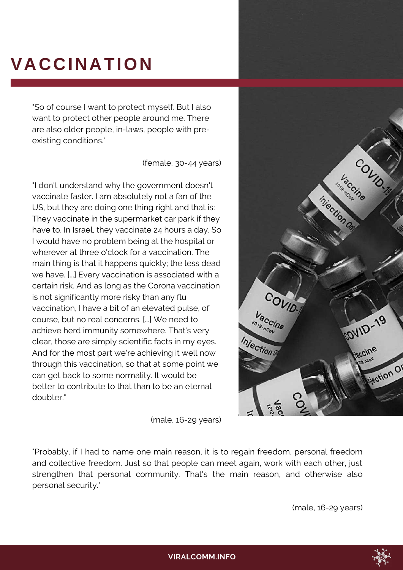# **VACCINATION**

"So of course I want to protect myself. But I also want to protect other people around me. There are also older people, in-laws, people with preexisting conditions."

(female, 30-44 years)

"I don't understand why the government doesn't vaccinate faster. I am absolutely not a fan of the US, but they are doing one thing right and that is: They vaccinate in the supermarket car park if they have to. In Israel, they vaccinate 24 hours a day. So I would have no problem being at the hospital or wherever at three o'clock for a vaccination. The main thing is that it happens quickly; the less dead we have. [...] Every vaccination is associated with a certain risk. And as long as the Corona vaccination is not significantly more risky than any flu vaccination, I have a bit of an elevated pulse, of course, but no real concerns. [...] We need to achieve herd immunity somewhere. That's very clear, those are simply scientific facts in my eyes. And for the most part we're achieving it well now through this vaccination, so that at some point we can get back to some normality. It would be better to contribute to that than to be an eternal doubter."

accine Injection Or COVID-Vaccine fovilo-19 2019-RCOV Injection laccine Mection Of

(male, 16-29 years)

"Probably, if I had to name one main reason, it is to regain freedom, personal freedom and collective freedom. Just so that people can meet again, work with each other, just strengthen that personal community. That's the main reason, and otherwise also personal security."

(male, 16-29 years)

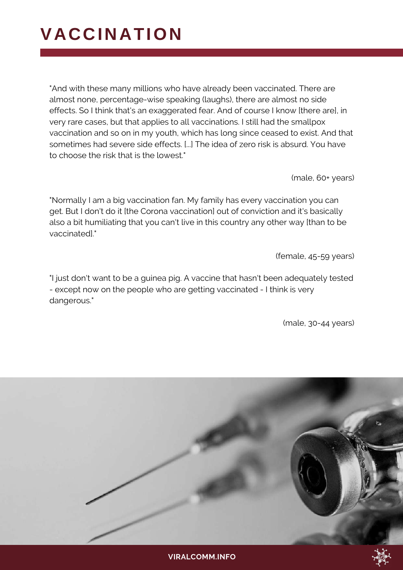## **VACCINATION**

"And with these many millions who have already been vaccinated. There are almost none, percentage-wise speaking (laughs), there are almost no side effects. So I think that's an exaggerated fear. And of course I know [there are], in very rare cases, but that applies to all vaccinations. I still had the smallpox vaccination and so on in my youth, which has long since ceased to exist. And that sometimes had severe side effects. [...] The idea of zero risk is absurd. You have to choose the risk that is the lowest."

(male, 60+ years)

"Normally I am a big vaccination fan. My family has every vaccination you can get. But I don't do it [the Corona vaccination] out of conviction and it's basically also a bit humiliating that you can't live in this country any other way [than to be vaccinated]."

(female, 45-59 years)

"I just don't want to be a guinea pig. A vaccine that hasn't been adequately tested - except now on the people who are getting vaccinated - I think is very dangerous."

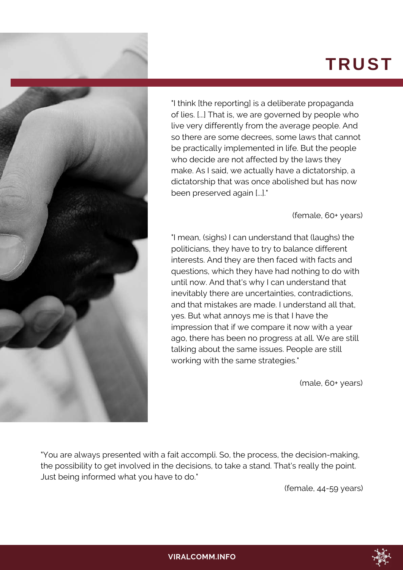## **TRUST**



"I think [the reporting] is a deliberate propaganda of lies. [...] That is, we are governed by people who live very differently from the average people. And so there are some decrees, some laws that cannot be practically implemented in life. But the people who decide are not affected by the laws they make. As I said, we actually have a dictatorship, a dictatorship that was once abolished but has now been preserved again [...]."

(female, 60+ years)

"I mean, (sighs) I can understand that (laughs) the politicians, they have to try to balance different interests. And they are then faced with facts and questions, which they have had nothing to do with until now. And that's why I can understand that inevitably there are uncertainties, contradictions, and that mistakes are made. I understand all that, yes. But what annoys me is that I have the impression that if we compare it now with a year ago, there has been no progress at all. We are still talking about the same issues. People are still working with the same strategies."

(male, 60+ years)

"You are always presented with a fait accompli. So, the process, the decision-making, the possibility to get involved in the decisions, to take a stand. That's really the point. Just being informed what you have to do."

(female, 44-59 years)

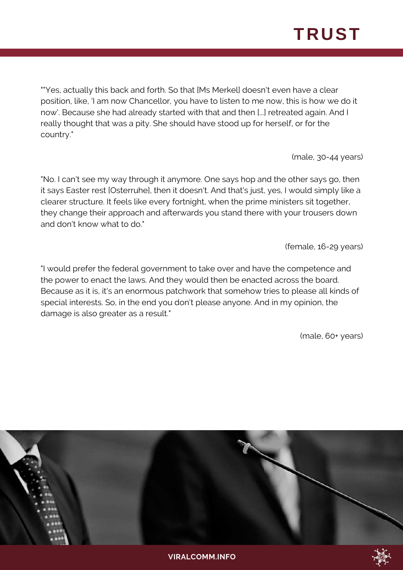# **TRUST**

""Yes, actually this back and forth. So that [Ms Merkel] doesn't even have a clear position, like, 'I am now Chancellor, you have to listen to me now, this is how we do it now'. Because she had already started with that and then [...] retreated again. And I really thought that was a pity. She should have stood up for herself, or for the country."

(male, 30-44 years)

"No. I can't see my way through it anymore. One says hop and the other says go, then it says Easter rest [Osterruhe], then it doesn't. And that's just, yes, I would simply like a clearer structure. It feels like every fortnight, when the prime ministers sit together, they change their approach and afterwards you stand there with your trousers down and don't know what to do."

(female, 16-29 years)

"I would prefer the federal government to take over and have the competence and the power to enact the laws. And they would then be enacted across the board. Because as it is, it's an enormous patchwork that somehow tries to please all kinds of special interests. So, in the end you don't please anyone. And in my opinion, the damage is also greater as a result."

(male, 60+ years)

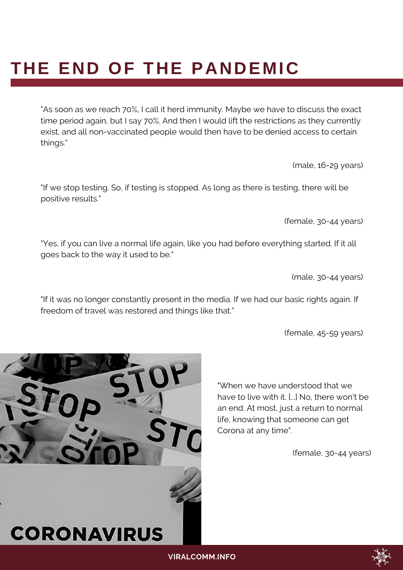## **THE END OF THE PANDEMIC**

"As soon as we reach 70%, I call it herd immunity. Maybe we have to discuss the exact time period again, but I say 70%. And then I would lift the restrictions as they currently exist, and all non-vaccinated people would then have to be denied access to certain things."

(male, 16-29 years)

"If we stop testing. So, if testing is stopped. As long as there is testing, there will be positive results."

(female, 30-44 years)

"Yes, if you can live a normal life again, like you had before everything started. If it all goes back to the way it used to be."

(male, 30-44 years)

"If it was no longer constantly present in the media. If we had our basic rights again. If freedom of travel was restored and things like that."

(female, 45-59 years)

"When we have understood that we have to live with it. [...] No, there won't be an end. At most, just a return to normal life, knowing that someone can get Corona at any time".



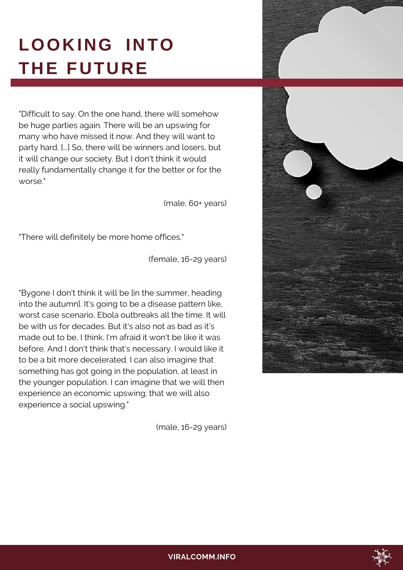# **LOOKING INTO THE FUTURE**

"Difficult to say. On the one hand, there will somehow be huge parties again. There will be an upswing for many who have missed it now. And they will want to party hard. [...] So, there will be winners and losers, but it will change our society. But I don't think it would really fundamentally change it for the better or for the worse."

(male, 60+ years)

"There will definitely be more home offices."

(female, 16-29 years)

"Bygone I don't think it will be [in the summer, heading into the autumn]. It's going to be a disease pattern like, worst case scenario, Ebola outbreaks all the time. It will be with us for decades. But it's also not as bad as it's made out to be, I think. I'm afraid it won't be like it was before. And I don't think that's necessary. I would like it to be a bit more decelerated. I can also imagine that something has got going in the population, at least in the younger population. I can imagine that we will then experience an economic upswing; that we will also experience a social upswing."

(male, 16-29 years)





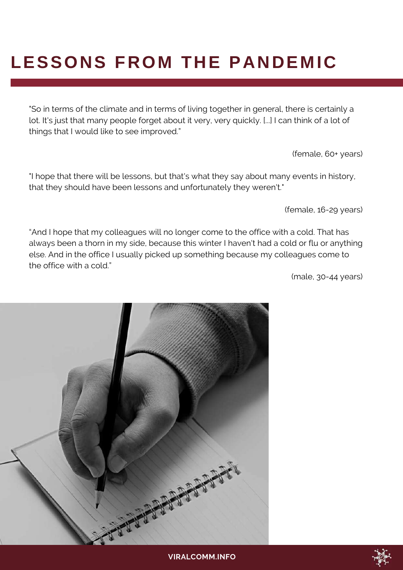# **LESSONS FROM THE PANDEMIC**

"So in terms of the climate and in terms of living together in general, there is certainly a lot. It's just that many people forget about it very, very quickly. [...] I can think of a lot of things that I would like to see improved."

(female, 60+ years)

"I hope that there will be lessons, but that's what they say about many events in history, that they should have been lessons and unfortunately they weren't."

(female, 16-29 years)

"And I hope that my colleagues will no longer come to the office with a cold. That has always been a thorn in my side, because this winter I haven't had a cold or flu or anything else. And in the office I usually picked up something because my colleagues come to the office with a cold."



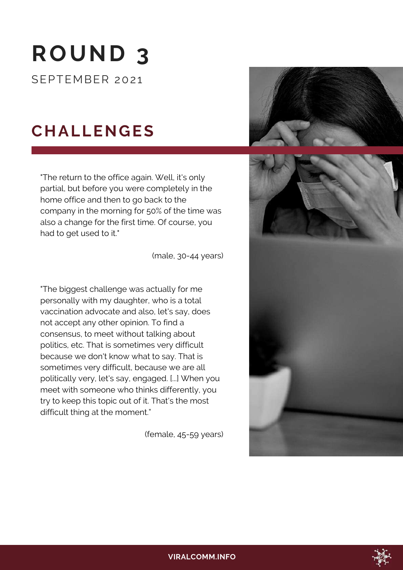# **ROUND 3**

SEPTEMBER 2021

## **CHALLENGES**

"The return to the office again. Well, it's only partial, but before you were completely in the home office and then to go back to the company in the morning for 50% of the time was also a change for the first time. Of course, you had to get used to it."

(male, 30-44 years)

"The biggest challenge was actually for me personally with my daughter, who is a total vaccination advocate and also, let's say, does not accept any other opinion. To find a consensus, to meet without talking about politics, etc. That is sometimes very difficult because we don't know what to say. That is sometimes very difficult, because we are all politically very, let's say, engaged. [...] When you meet with someone who thinks differently, you try to keep this topic out of it. That's the most difficult thing at the moment."

(female, 45-59 years)







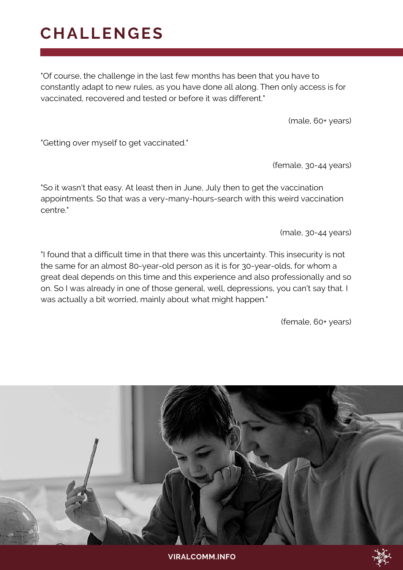#### **CHALLENGES**

"Of course, the challenge in the last few months has been that you have to constantly adapt to new rules, as you have done all along. Then only access is for vaccinated, recovered and tested or before it was different."

(male, 60+ years)

"Getting over myself to get vaccinated."

(female, 30-44 years)

"So it wasn't that easy. At least then in June, July then to get the vaccination appointments. So that was a very-many-hours-search with this weird vaccination centre."

(male, 30-44 years)

"I found that a difficult time in that there was this uncertainty. This insecurity is not the same for an almost 80-year-old person as it is for 30-year-olds, for whom a great deal depends on this time and this experience and also professionally and so on. So I was already in one of those general, well, depressions, you can't say that. I was actually a bit worried, mainly about what might happen."

(female, 60+ years)

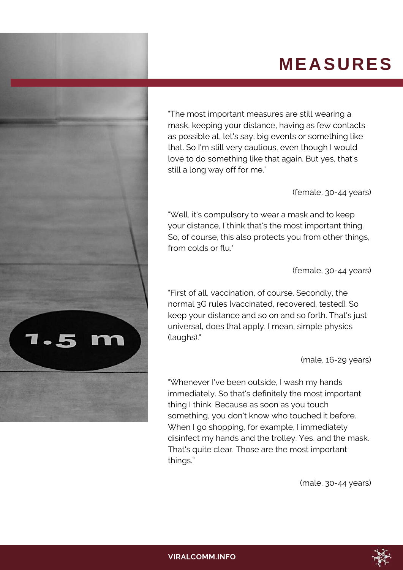## **MEASURES**



"The most important measures are still wearing a mask, keeping your distance, having as few contacts as possible at, let's say, big events or something like that. So I'm still very cautious, even though I would love to do something like that again. But yes, that's still a long way off for me."

(female, 30-44 years)

"Well, it's compulsory to wear a mask and to keep your distance, I think that's the most important thing. So, of course, this also protects you from other things, from colds or flu."

(female, 30-44 years)

"First of all, vaccination, of course. Secondly, the normal 3G rules [vaccinated, recovered, tested]. So keep your distance and so on and so forth. That's just universal, does that apply. I mean, simple physics (laughs)."

(male, 16-29 years)

"Whenever I've been outside, I wash my hands immediately. So that's definitely the most important thing I think. Because as soon as you touch something, you don't know who touched it before. When I go shopping, for example, I immediately disinfect my hands and the trolley. Yes, and the mask. That's quite clear. Those are the most important things."

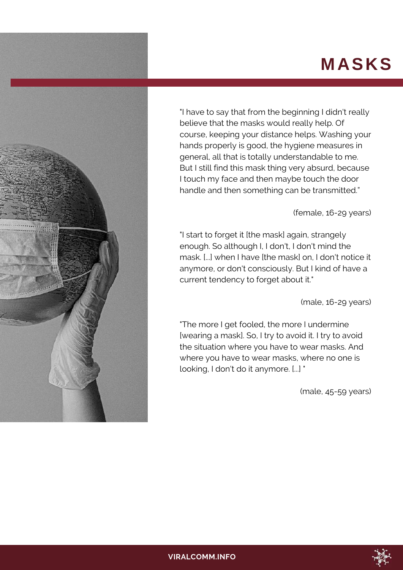### **MASKS**



"I have to say that from the beginning I didn't really believe that the masks would really help. Of course, keeping your distance helps. Washing your hands properly is good, the hygiene measures in general, all that is totally understandable to me. But I still find this mask thing very absurd, because I touch my face and then maybe touch the door handle and then something can be transmitted."

#### (female, 16-29 years)

"I start to forget it [the mask] again, strangely enough. So although I, I don't, I don't mind the mask. [...] when I have [the mask] on, I don't notice it anymore, or don't consciously. But I kind of have a current tendency to forget about it."

(male, 16-29 years)

"The more I get fooled, the more I undermine [wearing a mask]. So, I try to avoid it. I try to avoid the situation where you have to wear masks. And where you have to wear masks, where no one is looking, I don't do it anymore. [...] "

(male, 45-59 years)

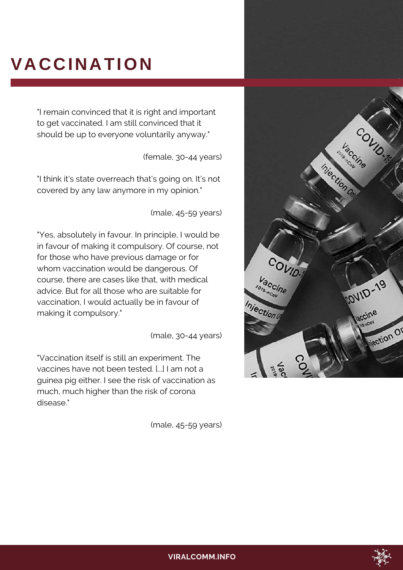# **VACCINATION**

"I remain convinced that it is right and important to get vaccinated. I am still convinced that it should be up to everyone voluntarily anyway."

(female, 30-44 years)

"I think it's state overreach that's going on. It's not covered by any law anymore in my opinion."

(male, 45-59 years)

"Yes, absolutely in favour. In principle, I would be in favour of making it compulsory. Of course, not for those who have previous damage or for whom vaccination would be dangerous. Of course, there are cases like that, with medical advice. But for all those who are suitable for vaccination, I would actually be in favour of making it compulsory."

(male, 30-44 years)

"Vaccination itself is still an experiment. The vaccines have not been tested. [...] I am not a guinea pig either. I see the risk of vaccination as much, much higher than the risk of corona disease."

(male, 45-59 years)



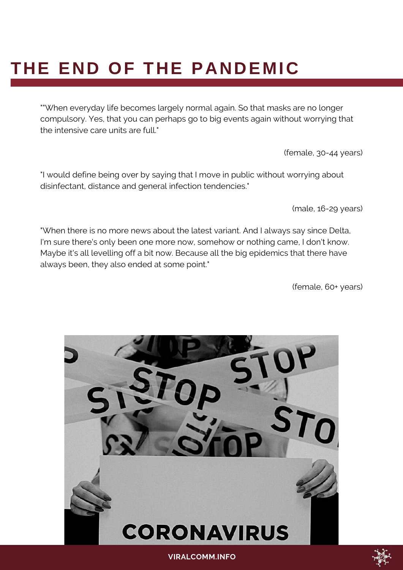# **THE END OF THE PANDEMIC**

""When everyday life becomes largely normal again. So that masks are no longer compulsory. Yes, that you can perhaps go to big events again without worrying that the intensive care units are full."

(female, 30-44 years)

"I would define being over by saying that I move in public without worrying about disinfectant, distance and general infection tendencies."

(male, 16-29 years)

"When there is no more news about the latest variant. And I always say since Delta, I'm sure there's only been one more now, somehow or nothing came, I don't know. Maybe it's all levelling off a bit now. Because all the big epidemics that there have always been, they also ended at some point."

(female, 60+ years)



**VIRALCOMM.INFO**

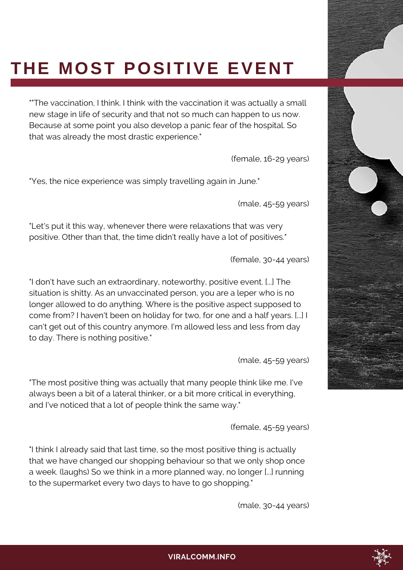# **THE MOST POSITIVE EVENT**

""The vaccination, I think. I think with the vaccination it was actually a small new stage in life of security and that not so much can happen to us now. Because at some point you also develop a panic fear of the hospital. So that was already the most drastic experience."

(female, 16-29 years)

"Yes, the nice experience was simply travelling again in June."

(male, 45-59 years)

"Let's put it this way, whenever there were relaxations that was very positive. Other than that, the time didn't really have a lot of positives."

(female, 30-44 years)

"I don't have such an extraordinary, noteworthy, positive event. [...] The situation is shitty. As an unvaccinated person, you are a leper who is no longer allowed to do anything. Where is the positive aspect supposed to come from? I haven't been on holiday for two, for one and a half years. [...] I can't get out of this country anymore. I'm allowed less and less from day to day. There is nothing positive."

(male, 45-59 years)

"The most positive thing was actually that many people think like me. I've always been a bit of a lateral thinker, or a bit more critical in everything, and I've noticed that a lot of people think the same way."

(female, 45-59 years)

"I think I already said that last time, so the most positive thing is actually that we have changed our shopping behaviour so that we only shop once a week. (laughs) So we think in a more planned way, no longer [...] running to the supermarket every two days to have to go shopping."